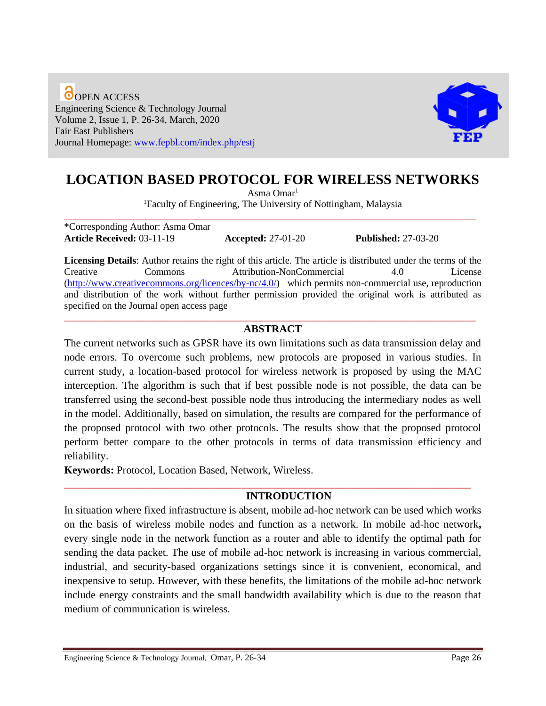**O**OPEN ACCESS Engineering Science & Technology Journal Volume 2, Issue 1, P. 26-34, March, 2020 Fair East Publishers Journal Homepage: [www.fepbl.com/index.php/estj](http://www.fepbl.com/index.php/estj)



# **LOCATION BASED PROTOCOL FOR WIRELESS NETWORKS**

Asma Omar<sup>1</sup>

<sup>1</sup>Faculty of Engineering, The University of Nottingham, Malaysia \_\_\_\_\_\_\_\_\_\_\_\_\_\_\_\_\_\_\_\_\_\_\_\_\_\_\_\_\_\_\_\_\_\_\_\_\_\_\_\_\_\_\_\_\_\_\_\_\_\_\_\_\_\_\_\_\_\_\_\_\_\_\_\_\_\_\_\_\_\_\_\_\_\_\_\_\_\_\_\_\_\_\_\_

\*Corresponding Author: Asma Omar **Article Received:** 03-11-19 **Accepted:** 27-01-20 **Published:** 27-03-20

**Licensing Details**: Author retains the right of this article. The article is distributed under the terms of the Creative Commons Attribution-NonCommercial 4.0 License [\(http://www.creativecommons.org/licences/by-nc/4.0/\)](http://www.creativecommons.org/licences/by-nc/4.0/) which permits non-commercial use, reproduction and distribution of the work without further permission provided the original work is attributed as specified on the Journal open access page \_\_\_\_\_\_\_\_\_\_\_\_\_\_\_\_\_\_\_\_\_\_\_\_\_\_\_\_\_\_\_\_\_\_\_\_\_\_\_\_\_\_\_\_\_\_\_\_\_\_\_\_\_\_\_\_\_\_\_\_\_\_\_\_\_\_\_\_\_\_\_\_\_\_\_\_\_\_\_\_\_\_\_\_

# **ABSTRACT**

The current networks such as GPSR have its own limitations such as data transmission delay and node errors. To overcome such problems, new protocols are proposed in various studies. In current study, a location-based protocol for wireless network is proposed by using the MAC interception. The algorithm is such that if best possible node is not possible, the data can be transferred using the second-best possible node thus introducing the intermediary nodes as well in the model. Additionally, based on simulation, the results are compared for the performance of the proposed protocol with two other protocols. The results show that the proposed protocol perform better compare to the other protocols in terms of data transmission efficiency and reliability.

**Keywords:** Protocol, Location Based, Network, Wireless.

### **INTRODUCTION**

In situation where fixed infrastructure is absent, mobile ad-hoc network can be used which works on the basis of wireless mobile nodes and function as a network. In mobile ad-hoc network**,**  every single node in the network function as a router and able to identify the optimal path for sending the data packet. The use of mobile ad-hoc network is increasing in various commercial, industrial, and security-based organizations settings since it is convenient, economical, and inexpensive to setup. However, with these benefits, the limitations of the mobile ad-hoc network include energy constraints and the small bandwidth availability which is due to the reason that medium of communication is wireless.

\_\_\_\_\_\_\_\_\_\_\_\_\_\_\_\_\_\_\_\_\_\_\_\_\_\_\_\_\_\_\_\_\_\_\_\_\_\_\_\_\_\_\_\_\_\_\_\_\_\_\_\_\_\_\_\_\_\_\_\_\_\_\_\_\_\_\_\_\_\_\_\_\_\_\_\_\_\_\_\_\_\_\_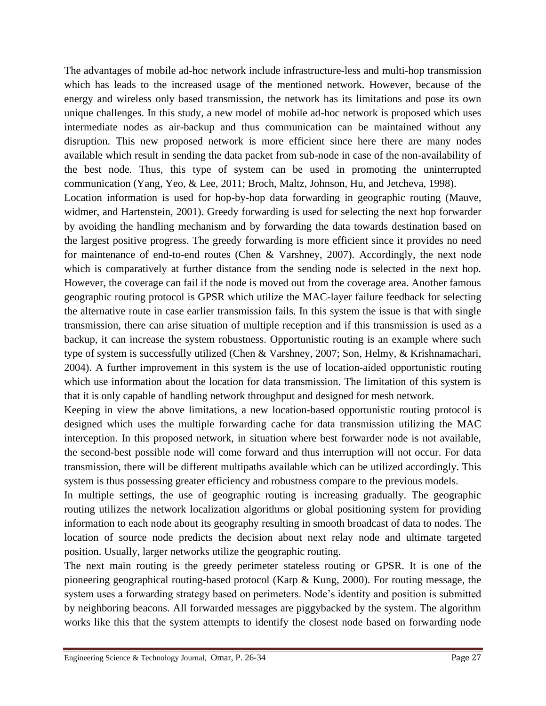The advantages of mobile ad-hoc network include infrastructure-less and multi-hop transmission which has leads to the increased usage of the mentioned network. However, because of the energy and wireless only based transmission, the network has its limitations and pose its own unique challenges. In this study, a new model of mobile ad-hoc network is proposed which uses intermediate nodes as air-backup and thus communication can be maintained without any disruption. This new proposed network is more efficient since here there are many nodes available which result in sending the data packet from sub-node in case of the non-availability of the best node. Thus, this type of system can be used in promoting the uninterrupted communication (Yang, Yeo, & Lee, 2011; Broch, Maltz, Johnson, Hu, and Jetcheva, 1998).

Location information is used for hop-by-hop data forwarding in geographic routing (Mauve, widmer, and Hartenstein, 2001). Greedy forwarding is used for selecting the next hop forwarder by avoiding the handling mechanism and by forwarding the data towards destination based on the largest positive progress. The greedy forwarding is more efficient since it provides no need for maintenance of end-to-end routes (Chen & Varshney, 2007). Accordingly, the next node which is comparatively at further distance from the sending node is selected in the next hop. However, the coverage can fail if the node is moved out from the coverage area. Another famous geographic routing protocol is GPSR which utilize the MAC-layer failure feedback for selecting the alternative route in case earlier transmission fails. In this system the issue is that with single transmission, there can arise situation of multiple reception and if this transmission is used as a backup, it can increase the system robustness. Opportunistic routing is an example where such type of system is successfully utilized (Chen & Varshney, 2007; Son, Helmy, & Krishnamachari, 2004). A further improvement in this system is the use of location-aided opportunistic routing which use information about the location for data transmission. The limitation of this system is that it is only capable of handling network throughput and designed for mesh network.

Keeping in view the above limitations, a new location-based opportunistic routing protocol is designed which uses the multiple forwarding cache for data transmission utilizing the MAC interception. In this proposed network, in situation where best forwarder node is not available, the second-best possible node will come forward and thus interruption will not occur. For data transmission, there will be different multipaths available which can be utilized accordingly. This system is thus possessing greater efficiency and robustness compare to the previous models.

In multiple settings, the use of geographic routing is increasing gradually. The geographic routing utilizes the network localization algorithms or global positioning system for providing information to each node about its geography resulting in smooth broadcast of data to nodes. The location of source node predicts the decision about next relay node and ultimate targeted position. Usually, larger networks utilize the geographic routing.

The next main routing is the greedy perimeter stateless routing or GPSR. It is one of the pioneering geographical routing-based protocol (Karp & Kung, 2000). For routing message, the system uses a forwarding strategy based on perimeters. Node's identity and position is submitted by neighboring beacons. All forwarded messages are piggybacked by the system. The algorithm works like this that the system attempts to identify the closest node based on forwarding node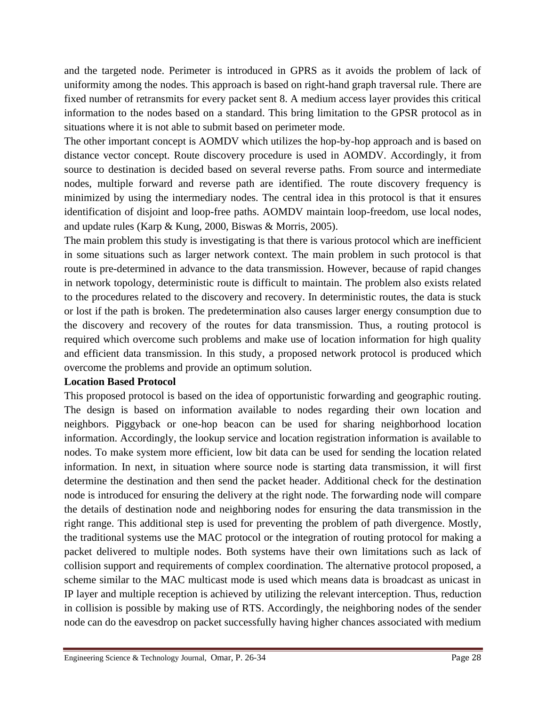and the targeted node. Perimeter is introduced in GPRS as it avoids the problem of lack of uniformity among the nodes. This approach is based on right-hand graph traversal rule. There are fixed number of retransmits for every packet sent 8. A medium access layer provides this critical information to the nodes based on a standard. This bring limitation to the GPSR protocol as in situations where it is not able to submit based on perimeter mode.

The other important concept is AOMDV which utilizes the hop-by-hop approach and is based on distance vector concept. Route discovery procedure is used in AOMDV. Accordingly, it from source to destination is decided based on several reverse paths. From source and intermediate nodes, multiple forward and reverse path are identified. The route discovery frequency is minimized by using the intermediary nodes. The central idea in this protocol is that it ensures identification of disjoint and loop-free paths. AOMDV maintain loop-freedom, use local nodes, and update rules (Karp & Kung, 2000, Biswas & Morris, 2005).

The main problem this study is investigating is that there is various protocol which are inefficient in some situations such as larger network context. The main problem in such protocol is that route is pre-determined in advance to the data transmission. However, because of rapid changes in network topology, deterministic route is difficult to maintain. The problem also exists related to the procedures related to the discovery and recovery. In deterministic routes, the data is stuck or lost if the path is broken. The predetermination also causes larger energy consumption due to the discovery and recovery of the routes for data transmission. Thus, a routing protocol is required which overcome such problems and make use of location information for high quality and efficient data transmission. In this study, a proposed network protocol is produced which overcome the problems and provide an optimum solution.

### **Location Based Protocol**

This proposed protocol is based on the idea of opportunistic forwarding and geographic routing. The design is based on information available to nodes regarding their own location and neighbors. Piggyback or one-hop beacon can be used for sharing neighborhood location information. Accordingly, the lookup service and location registration information is available to nodes. To make system more efficient, low bit data can be used for sending the location related information. In next, in situation where source node is starting data transmission, it will first determine the destination and then send the packet header. Additional check for the destination node is introduced for ensuring the delivery at the right node. The forwarding node will compare the details of destination node and neighboring nodes for ensuring the data transmission in the right range. This additional step is used for preventing the problem of path divergence. Mostly, the traditional systems use the MAC protocol or the integration of routing protocol for making a packet delivered to multiple nodes. Both systems have their own limitations such as lack of collision support and requirements of complex coordination. The alternative protocol proposed, a scheme similar to the MAC multicast mode is used which means data is broadcast as unicast in IP layer and multiple reception is achieved by utilizing the relevant interception. Thus, reduction in collision is possible by making use of RTS. Accordingly, the neighboring nodes of the sender node can do the eavesdrop on packet successfully having higher chances associated with medium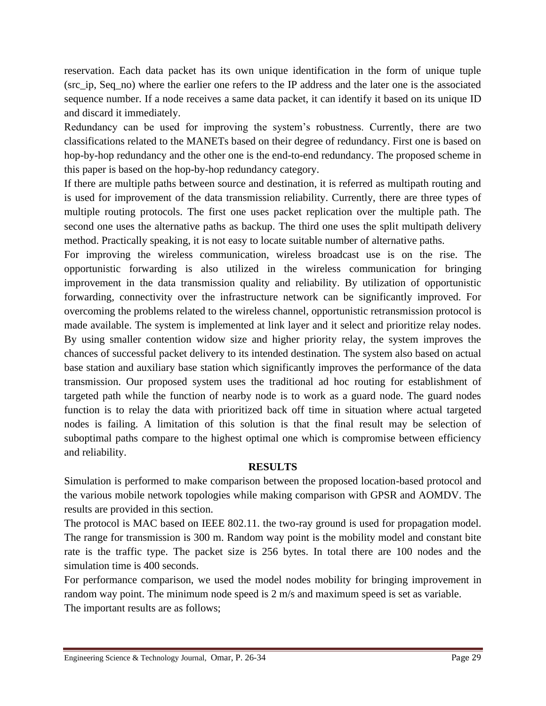reservation. Each data packet has its own unique identification in the form of unique tuple (src\_ip, Seq\_no) where the earlier one refers to the IP address and the later one is the associated sequence number. If a node receives a same data packet, it can identify it based on its unique ID and discard it immediately.

Redundancy can be used for improving the system's robustness. Currently, there are two classifications related to the MANETs based on their degree of redundancy. First one is based on hop-by-hop redundancy and the other one is the end-to-end redundancy. The proposed scheme in this paper is based on the hop-by-hop redundancy category.

If there are multiple paths between source and destination, it is referred as multipath routing and is used for improvement of the data transmission reliability. Currently, there are three types of multiple routing protocols. The first one uses packet replication over the multiple path. The second one uses the alternative paths as backup. The third one uses the split multipath delivery method. Practically speaking, it is not easy to locate suitable number of alternative paths.

For improving the wireless communication, wireless broadcast use is on the rise. The opportunistic forwarding is also utilized in the wireless communication for bringing improvement in the data transmission quality and reliability. By utilization of opportunistic forwarding, connectivity over the infrastructure network can be significantly improved. For overcoming the problems related to the wireless channel, opportunistic retransmission protocol is made available. The system is implemented at link layer and it select and prioritize relay nodes. By using smaller contention widow size and higher priority relay, the system improves the chances of successful packet delivery to its intended destination. The system also based on actual base station and auxiliary base station which significantly improves the performance of the data transmission. Our proposed system uses the traditional ad hoc routing for establishment of targeted path while the function of nearby node is to work as a guard node. The guard nodes function is to relay the data with prioritized back off time in situation where actual targeted nodes is failing. A limitation of this solution is that the final result may be selection of suboptimal paths compare to the highest optimal one which is compromise between efficiency and reliability.

# **RESULTS**

Simulation is performed to make comparison between the proposed location-based protocol and the various mobile network topologies while making comparison with GPSR and AOMDV. The results are provided in this section.

The protocol is MAC based on IEEE 802.11. the two-ray ground is used for propagation model. The range for transmission is 300 m. Random way point is the mobility model and constant bite rate is the traffic type. The packet size is 256 bytes. In total there are 100 nodes and the simulation time is 400 seconds.

For performance comparison, we used the model nodes mobility for bringing improvement in random way point. The minimum node speed is 2 m/s and maximum speed is set as variable. The important results are as follows;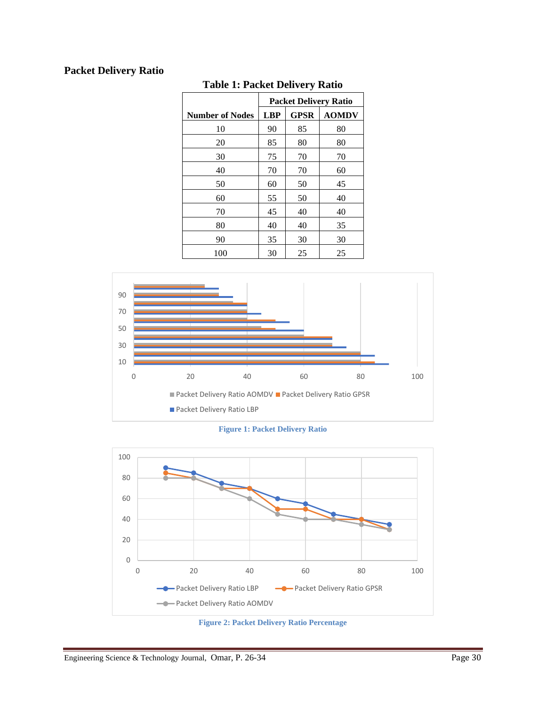# **Packet Delivery Ratio**

|                        | <b>Packet Delivery Ratio</b> |             |              |
|------------------------|------------------------------|-------------|--------------|
| <b>Number of Nodes</b> | <b>LBP</b>                   | <b>GPSR</b> | <b>AOMDV</b> |
| 10                     | 90                           | 85          | 80           |
| 20                     | 85                           | 80          | 80           |
| 30                     | 75                           | 70          | 70           |
| 40                     | 70                           | 70          | 60           |
| 50                     | 60                           | 50          | 45           |
| 60                     | 55                           | 50          | 40           |
| 70                     | 45                           | 40          | 40           |
| 80                     | 40                           | 40          | 35           |
| 90                     | 35                           | 30          | 30           |
| 100                    | 30                           | 25          | 25           |

# **Table 1: Packet Delivery Ratio**



**Figure 1: Packet Delivery Ratio**



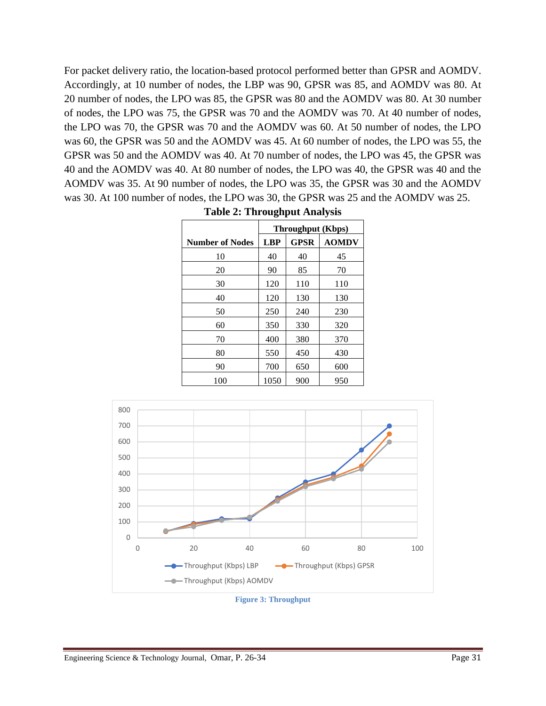For packet delivery ratio, the location-based protocol performed better than GPSR and AOMDV. Accordingly, at 10 number of nodes, the LBP was 90, GPSR was 85, and AOMDV was 80. At 20 number of nodes, the LPO was 85, the GPSR was 80 and the AOMDV was 80. At 30 number of nodes, the LPO was 75, the GPSR was 70 and the AOMDV was 70. At 40 number of nodes, the LPO was 70, the GPSR was 70 and the AOMDV was 60. At 50 number of nodes, the LPO was 60, the GPSR was 50 and the AOMDV was 45. At 60 number of nodes, the LPO was 55, the GPSR was 50 and the AOMDV was 40. At 70 number of nodes, the LPO was 45, the GPSR was 40 and the AOMDV was 40. At 80 number of nodes, the LPO was 40, the GPSR was 40 and the AOMDV was 35. At 90 number of nodes, the LPO was 35, the GPSR was 30 and the AOMDV was 30. At 100 number of nodes, the LPO was 30, the GPSR was 25 and the AOMDV was 25.

|                        | <b>Throughput (Kbps)</b> |             |              |
|------------------------|--------------------------|-------------|--------------|
| <b>Number of Nodes</b> | <b>LBP</b>               | <b>GPSR</b> | <b>AOMDV</b> |
| 10                     | 40                       | 40          | 45           |
| 20                     | 90                       | 85          | 70           |
| 30                     | 120                      | 110         | 110          |
| 40                     | 120                      | 130         | 130          |
| 50                     | 250                      | 240         | 230          |
| 60                     | 350                      | 330         | 320          |
| 70                     | 400                      | 380         | 370          |
| 80                     | 550                      | 450         | 430          |
| 90                     | 700                      | 650         | 600          |
| 100                    | 1050                     | 900         | 950          |

**Table 2: Throughput Analysis**



**Figure 3: Throughput**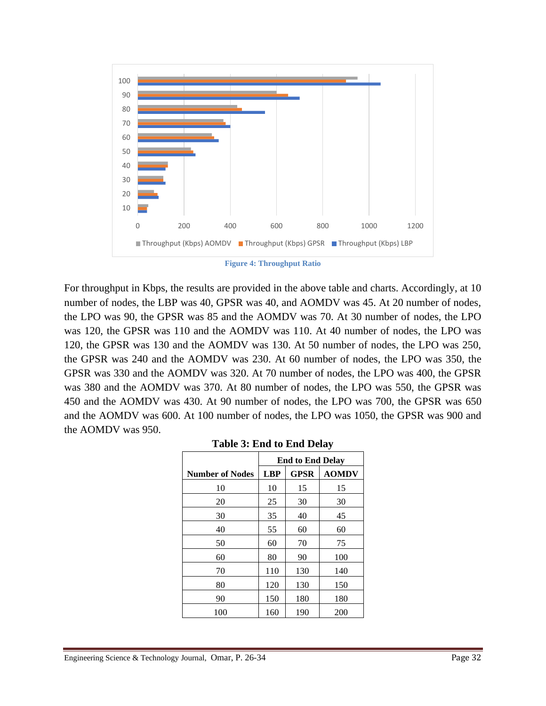

**Figure 4: Throughput Ratio**

For throughput in Kbps, the results are provided in the above table and charts. Accordingly, at 10 number of nodes, the LBP was 40, GPSR was 40, and AOMDV was 45. At 20 number of nodes, the LPO was 90, the GPSR was 85 and the AOMDV was 70. At 30 number of nodes, the LPO was 120, the GPSR was 110 and the AOMDV was 110. At 40 number of nodes, the LPO was 120, the GPSR was 130 and the AOMDV was 130. At 50 number of nodes, the LPO was 250, the GPSR was 240 and the AOMDV was 230. At 60 number of nodes, the LPO was 350, the GPSR was 330 and the AOMDV was 320. At 70 number of nodes, the LPO was 400, the GPSR was 380 and the AOMDV was 370. At 80 number of nodes, the LPO was 550, the GPSR was 450 and the AOMDV was 430. At 90 number of nodes, the LPO was 700, the GPSR was 650 and the AOMDV was 600. At 100 number of nodes, the LPO was 1050, the GPSR was 900 and the AOMDV was 950.

|                        | <b>End to End Delay</b> |             |              |
|------------------------|-------------------------|-------------|--------------|
| <b>Number of Nodes</b> | <b>LBP</b>              | <b>GPSR</b> | <b>AOMDV</b> |
| 10                     | 10                      | 15          | 15           |
| 20                     | 25                      | 30          | 30           |
| 30                     | 35                      | 40          | 45           |
| 40                     | 55                      | 60          | 60           |
| 50                     | 60                      | 70          | 75           |
| 60                     | 80                      | 90          | 100          |
| 70                     | 110                     | 130         | 140          |
| 80                     | 120                     | 130         | 150          |
| 90                     | 150                     | 180         | 180          |
| 100                    | 160                     | 190         | 200          |

**Table 3: End to End Delay**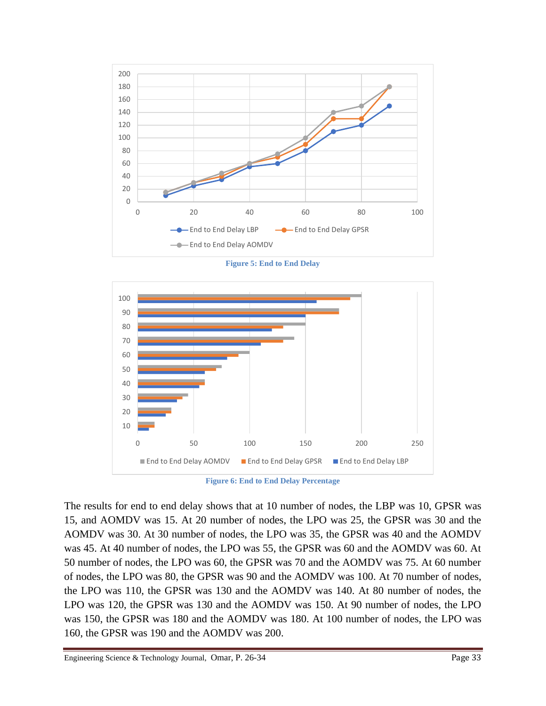

**Figure 5: End to End Delay**



**Figure 6: End to End Delay Percentage**

The results for end to end delay shows that at 10 number of nodes, the LBP was 10, GPSR was 15, and AOMDV was 15. At 20 number of nodes, the LPO was 25, the GPSR was 30 and the AOMDV was 30. At 30 number of nodes, the LPO was 35, the GPSR was 40 and the AOMDV was 45. At 40 number of nodes, the LPO was 55, the GPSR was 60 and the AOMDV was 60. At 50 number of nodes, the LPO was 60, the GPSR was 70 and the AOMDV was 75. At 60 number of nodes, the LPO was 80, the GPSR was 90 and the AOMDV was 100. At 70 number of nodes, the LPO was 110, the GPSR was 130 and the AOMDV was 140. At 80 number of nodes, the LPO was 120, the GPSR was 130 and the AOMDV was 150. At 90 number of nodes, the LPO was 150, the GPSR was 180 and the AOMDV was 180. At 100 number of nodes, the LPO was 160, the GPSR was 190 and the AOMDV was 200.